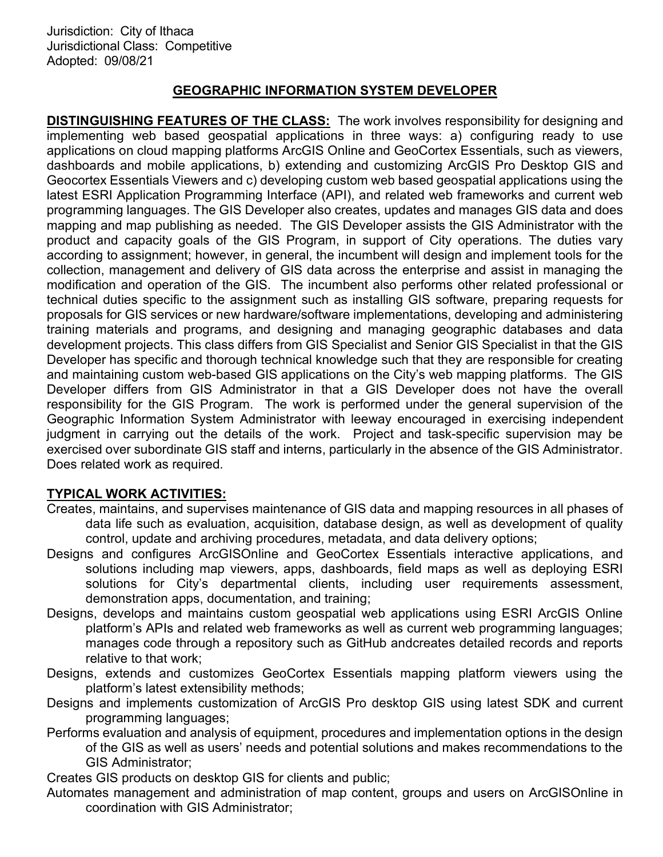## GEOGRAPHIC INFORMATION SYSTEM DEVELOPER

DISTINGUISHING FEATURES OF THE CLASS: The work involves responsibility for designing and implementing web based geospatial applications in three ways: a) configuring ready to use applications on cloud mapping platforms ArcGIS Online and GeoCortex Essentials, such as viewers, dashboards and mobile applications, b) extending and customizing ArcGIS Pro Desktop GIS and Geocortex Essentials Viewers and c) developing custom web based geospatial applications using the latest ESRI Application Programming Interface (API), and related web frameworks and current web programming languages. The GIS Developer also creates, updates and manages GIS data and does mapping and map publishing as needed. The GIS Developer assists the GIS Administrator with the product and capacity goals of the GIS Program, in support of City operations. The duties vary according to assignment; however, in general, the incumbent will design and implement tools for the collection, management and delivery of GIS data across the enterprise and assist in managing the modification and operation of the GIS. The incumbent also performs other related professional or technical duties specific to the assignment such as installing GIS software, preparing requests for proposals for GIS services or new hardware/software implementations, developing and administering training materials and programs, and designing and managing geographic databases and data development projects. This class differs from GIS Specialist and Senior GIS Specialist in that the GIS Developer has specific and thorough technical knowledge such that they are responsible for creating and maintaining custom web-based GIS applications on the City's web mapping platforms. The GIS Developer differs from GIS Administrator in that a GIS Developer does not have the overall responsibility for the GIS Program. The work is performed under the general supervision of the Geographic Information System Administrator with leeway encouraged in exercising independent judgment in carrying out the details of the work. Project and task-specific supervision may be exercised over subordinate GIS staff and interns, particularly in the absence of the GIS Administrator. Does related work as required.

# TYPICAL WORK ACTIVITIES:

- Creates, maintains, and supervises maintenance of GIS data and mapping resources in all phases of data life such as evaluation, acquisition, database design, as well as development of quality control, update and archiving procedures, metadata, and data delivery options;
- Designs and configures ArcGISOnline and GeoCortex Essentials interactive applications, and solutions including map viewers, apps, dashboards, field maps as well as deploying ESRI solutions for City's departmental clients, including user requirements assessment, demonstration apps, documentation, and training;
- Designs, develops and maintains custom geospatial web applications using ESRI ArcGIS Online platform's APIs and related web frameworks as well as current web programming languages; manages code through a repository such as GitHub andcreates detailed records and reports relative to that work;
- Designs, extends and customizes GeoCortex Essentials mapping platform viewers using the platform's latest extensibility methods;
- Designs and implements customization of ArcGIS Pro desktop GIS using latest SDK and current programming languages;
- Performs evaluation and analysis of equipment, procedures and implementation options in the design of the GIS as well as users' needs and potential solutions and makes recommendations to the GIS Administrator;

Creates GIS products on desktop GIS for clients and public;

Automates management and administration of map content, groups and users on ArcGISOnline in coordination with GIS Administrator;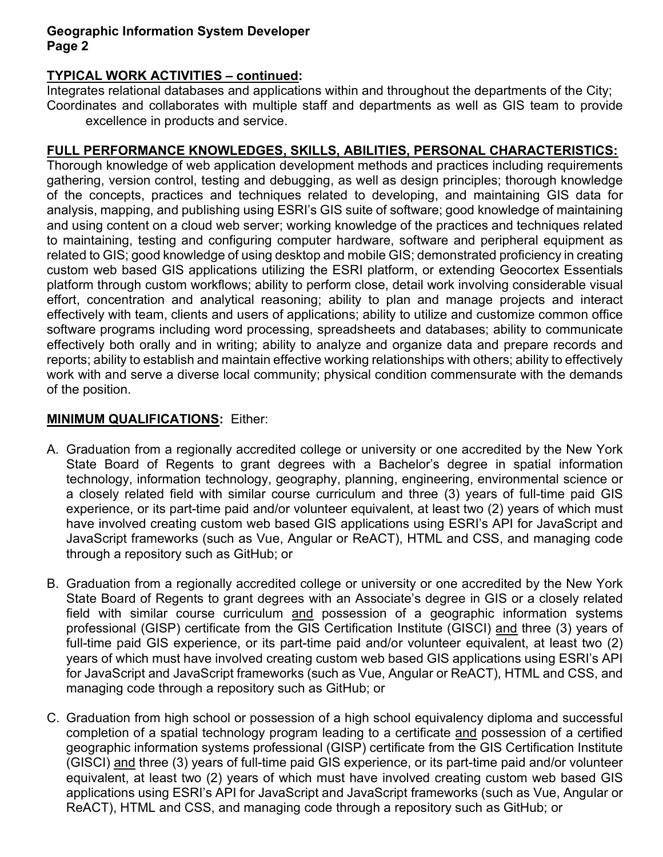## Geographic Information System Developer Page 2

## TYPICAL WORK ACTIVITIES – continued:

Integrates relational databases and applications within and throughout the departments of the City; Coordinates and collaborates with multiple staff and departments as well as GIS team to provide excellence in products and service.

## FULL PERFORMANCE KNOWLEDGES, SKILLS, ABILITIES, PERSONAL CHARACTERISTICS:

Thorough knowledge of web application development methods and practices including requirements gathering, version control, testing and debugging, as well as design principles; thorough knowledge of the concepts, practices and techniques related to developing, and maintaining GIS data for analysis, mapping, and publishing using ESRI's GIS suite of software; good knowledge of maintaining and using content on a cloud web server; working knowledge of the practices and techniques related to maintaining, testing and configuring computer hardware, software and peripheral equipment as related to GIS; good knowledge of using desktop and mobile GIS; demonstrated proficiency in creating custom web based GIS applications utilizing the ESRI platform, or extending Geocortex Essentials platform through custom workflows; ability to perform close, detail work involving considerable visual effort, concentration and analytical reasoning; ability to plan and manage projects and interact effectively with team, clients and users of applications; ability to utilize and customize common office software programs including word processing, spreadsheets and databases; ability to communicate effectively both orally and in writing; ability to analyze and organize data and prepare records and reports; ability to establish and maintain effective working relationships with others; ability to effectively work with and serve a diverse local community; physical condition commensurate with the demands of the position.

#### MINIMUM QUALIFICATIONS: Either:

- A. Graduation from a regionally accredited college or university or one accredited by the New York State Board of Regents to grant degrees with a Bachelor's degree in spatial information technology, information technology, geography, planning, engineering, environmental science or a closely related field with similar course curriculum and three (3) years of full-time paid GIS experience, or its part-time paid and/or volunteer equivalent, at least two (2) years of which must have involved creating custom web based GIS applications using ESRI's API for JavaScript and JavaScript frameworks (such as Vue, Angular or ReACT), HTML and CSS, and managing code through a repository such as GitHub; or
- B. Graduation from a regionally accredited college or university or one accredited by the New York State Board of Regents to grant degrees with an Associate's degree in GIS or a closely related field with similar course curriculum and possession of a geographic information systems professional (GISP) certificate from the GIS Certification Institute (GISCI) and three (3) years of full-time paid GIS experience, or its part-time paid and/or volunteer equivalent, at least two (2) years of which must have involved creating custom web based GIS applications using ESRI's API for JavaScript and JavaScript frameworks (such as Vue, Angular or ReACT), HTML and CSS, and managing code through a repository such as GitHub; or
- C. Graduation from high school or possession of a high school equivalency diploma and successful completion of a spatial technology program leading to a certificate and possession of a certified geographic information systems professional (GISP) certificate from the GIS Certification Institute (GISCI) and three (3) years of full-time paid GIS experience, or its part-time paid and/or volunteer equivalent, at least two (2) years of which must have involved creating custom web based GIS applications using ESRI's API for JavaScript and JavaScript frameworks (such as Vue, Angular or ReACT), HTML and CSS, and managing code through a repository such as GitHub; or